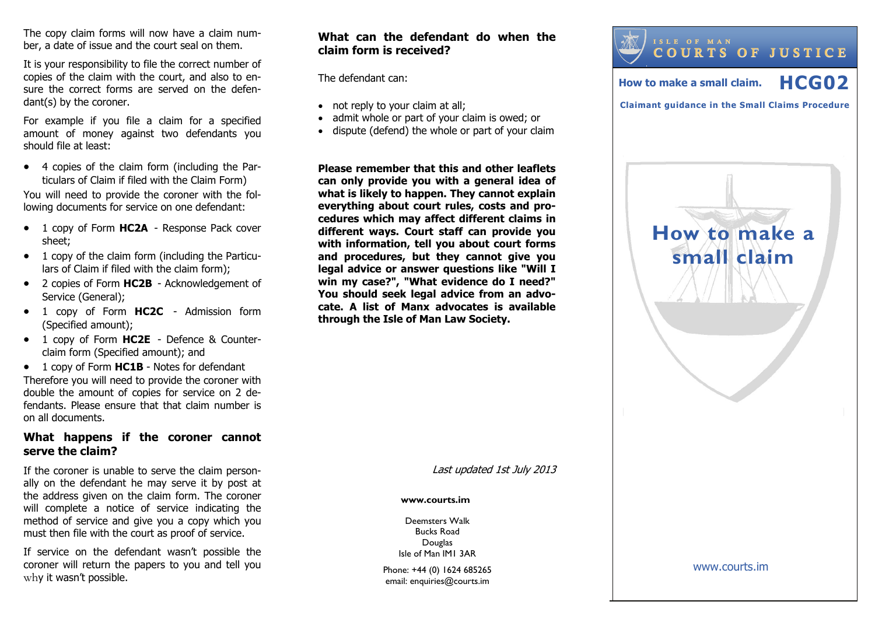The copy claim forms will now have a claim number, a date of issue and the court seal on them.

It is your responsibility to file the correct number of copies of the claim with the court, and also to ensure the correct forms are served on the defendant(s) by the coroner.

For example if you file a claim for a specified amount of money against two defendants you should file at least:

 4 copies of the claim form (including the Particulars of Claim if filed with the Claim Form)

You will need to provide the coroner with the following documents for service on one defendant:

- 1 copy of Form **HC2A**  Response Pack cover sheet;
- 1 copy of the claim form (including the Particulars of Claim if filed with the claim form);
- 2 copies of Form **HC2B**  Acknowledgement of Service (General);
- 1 copy of Form **HC2C**  Admission form (Specified amount);
- 1 copy of Form **HC2E**  Defence & Counterclaim form (Specified amount); and
- 1 copy of Form **HC1B**  Notes for defendant Therefore you will need to provide the coroner with double the amount of copies for service on 2 defendants. Please ensure that that claim number is on all documents.

#### **What happens if the coroner cannot serve the claim?**

If the coroner is unable to serve the claim personally on the defendant he may serve it by post at the address given on the claim form. The coroner will complete a notice of service indicating the method of service and give you a copy which you must then file with the court as proof of service.

If service on the defendant wasn't possible the coroner will return the papers to you and tell you why it wasn't possible.

# **What can the defendant do when the claim form is received?**

The defendant can:

- not reply to your claim at all;
- admit whole or part of your claim is owed; or
- dispute (defend) the whole or part of your claim

**Please remember that this and other leaflets can only provide you with a general idea of what is likely to happen. They cannot explain everything about court rules, costs and procedures which may affect different claims in different ways. Court staff can provide you with information, tell you about court forms and procedures, but they cannot give you legal advice or answer questions like "Will I win my case?", "What evidence do I need?" You should seek legal advice from an advocate. A list of Manx advocates is available through the Isle of Man Law Society.** 

Last updated 1st July 2013

#### **www.courts.im**

Deemsters Walk Bucks Road Douglas Isle of Man IM1 3AR

Phone: +44 (0) 1624 685265 email: enquiries@courts.im